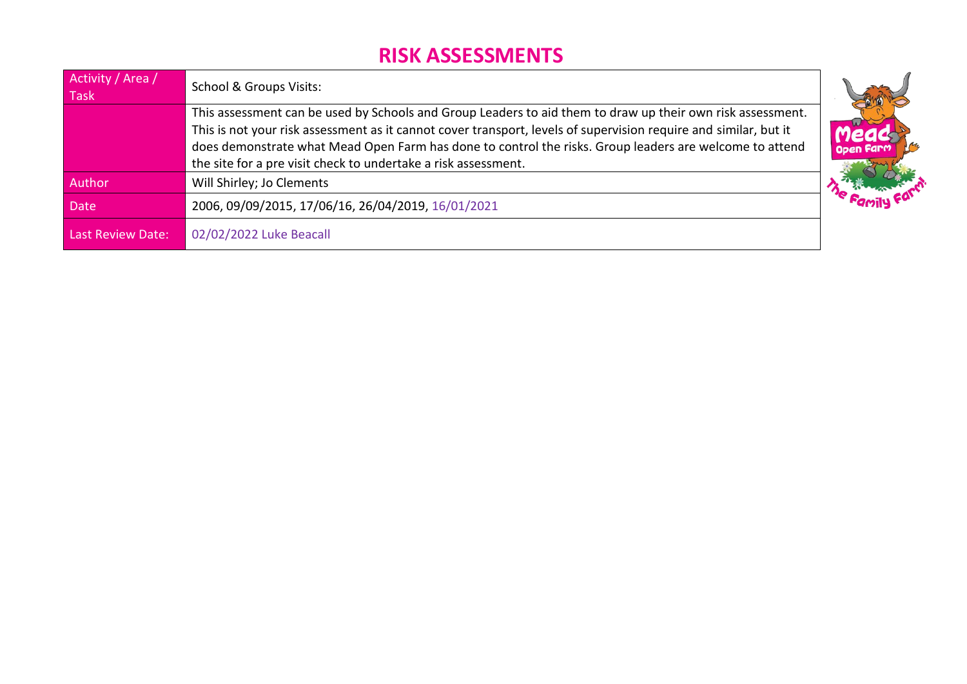| Activity / Area /<br>Task | School & Groups Visits:                                                                                                                                                                                                                                                                                                                                                                                     |                  |
|---------------------------|-------------------------------------------------------------------------------------------------------------------------------------------------------------------------------------------------------------------------------------------------------------------------------------------------------------------------------------------------------------------------------------------------------------|------------------|
|                           | This assessment can be used by Schools and Group Leaders to aid them to draw up their own risk assessment.<br>This is not your risk assessment as it cannot cover transport, levels of supervision require and similar, but it<br>does demonstrate what Mead Open Farm has done to control the risks. Group leaders are welcome to attend<br>the site for a pre visit check to undertake a risk assessment. | ieac<br>Open Far |
| Author                    | Will Shirley; Jo Clements                                                                                                                                                                                                                                                                                                                                                                                   |                  |
| <b>Date</b>               | 2006, 09/09/2015, 17/06/16, 26/04/2019, 16/01/2021                                                                                                                                                                                                                                                                                                                                                          | <b>Family</b>    |
| <b>Last Review Date:</b>  | 02/02/2022 Luke Beacall                                                                                                                                                                                                                                                                                                                                                                                     |                  |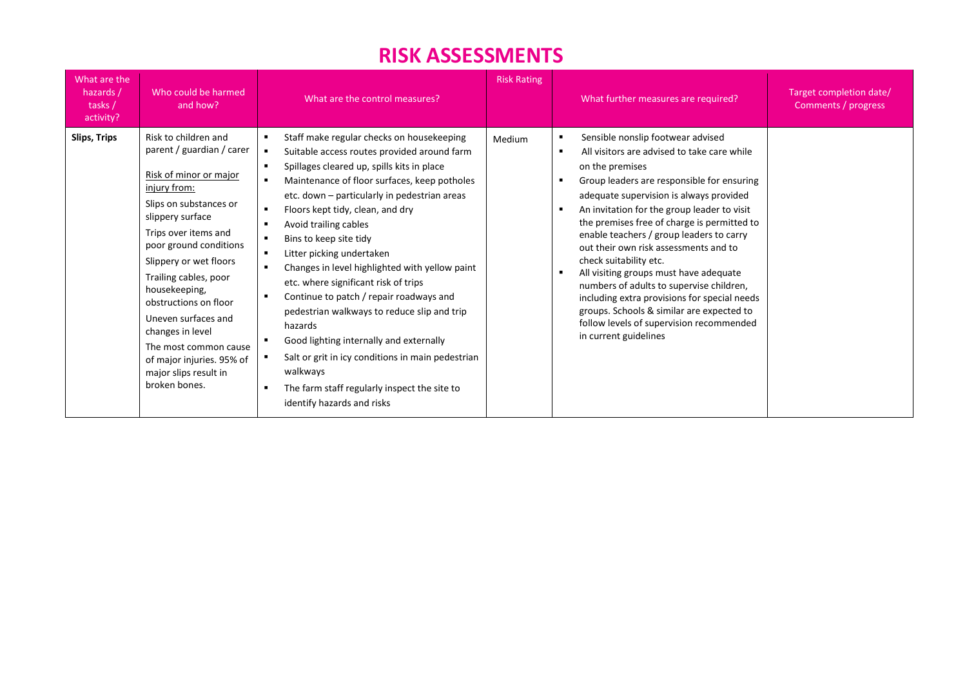| What are the<br>hazards /<br>tasks /<br>activity? | Who could be harmed<br>and how?                                                                                                                                                                                                                                                                                                                                                                                                     | What are the control measures?                                                                                                                                                                                                                                                                                                                                                                                                                                                                                                                                                                                                                                                                                                                      | <b>Risk Rating</b> | What further measures are required?                                                                                                                                                                                                                                                                                                                                                                                                                                                                                                                                                                                                                                                 | Target completion date/<br>Comments / progress |
|---------------------------------------------------|-------------------------------------------------------------------------------------------------------------------------------------------------------------------------------------------------------------------------------------------------------------------------------------------------------------------------------------------------------------------------------------------------------------------------------------|-----------------------------------------------------------------------------------------------------------------------------------------------------------------------------------------------------------------------------------------------------------------------------------------------------------------------------------------------------------------------------------------------------------------------------------------------------------------------------------------------------------------------------------------------------------------------------------------------------------------------------------------------------------------------------------------------------------------------------------------------------|--------------------|-------------------------------------------------------------------------------------------------------------------------------------------------------------------------------------------------------------------------------------------------------------------------------------------------------------------------------------------------------------------------------------------------------------------------------------------------------------------------------------------------------------------------------------------------------------------------------------------------------------------------------------------------------------------------------------|------------------------------------------------|
| <b>Slips, Trips</b>                               | Risk to children and<br>parent / guardian / carer<br>Risk of minor or major<br>injury from:<br>Slips on substances or<br>slippery surface<br>Trips over items and<br>poor ground conditions<br>Slippery or wet floors<br>Trailing cables, poor<br>housekeeping,<br>obstructions on floor<br>Uneven surfaces and<br>changes in level<br>The most common cause<br>of major injuries. 95% of<br>major slips result in<br>broken bones. | Staff make regular checks on housekeeping<br>Suitable access routes provided around farm<br>Spillages cleared up, spills kits in place<br>Maintenance of floor surfaces, keep potholes<br>etc. down - particularly in pedestrian areas<br>Floors kept tidy, clean, and dry<br>Avoid trailing cables<br>Bins to keep site tidy<br>Litter picking undertaken<br>Changes in level highlighted with yellow paint<br>etc. where significant risk of trips<br>Continue to patch / repair roadways and<br>pedestrian walkways to reduce slip and trip<br>hazards<br>Good lighting internally and externally<br>Salt or grit in icy conditions in main pedestrian<br>walkways<br>The farm staff regularly inspect the site to<br>identify hazards and risks | Medium             | Sensible nonslip footwear advised<br>All visitors are advised to take care while<br>$\blacksquare$<br>on the premises<br>Group leaders are responsible for ensuring<br>adequate supervision is always provided<br>An invitation for the group leader to visit<br>the premises free of charge is permitted to<br>enable teachers / group leaders to carry<br>out their own risk assessments and to<br>check suitability etc.<br>All visiting groups must have adequate<br>numbers of adults to supervise children,<br>including extra provisions for special needs<br>groups. Schools & similar are expected to<br>follow levels of supervision recommended<br>in current guidelines |                                                |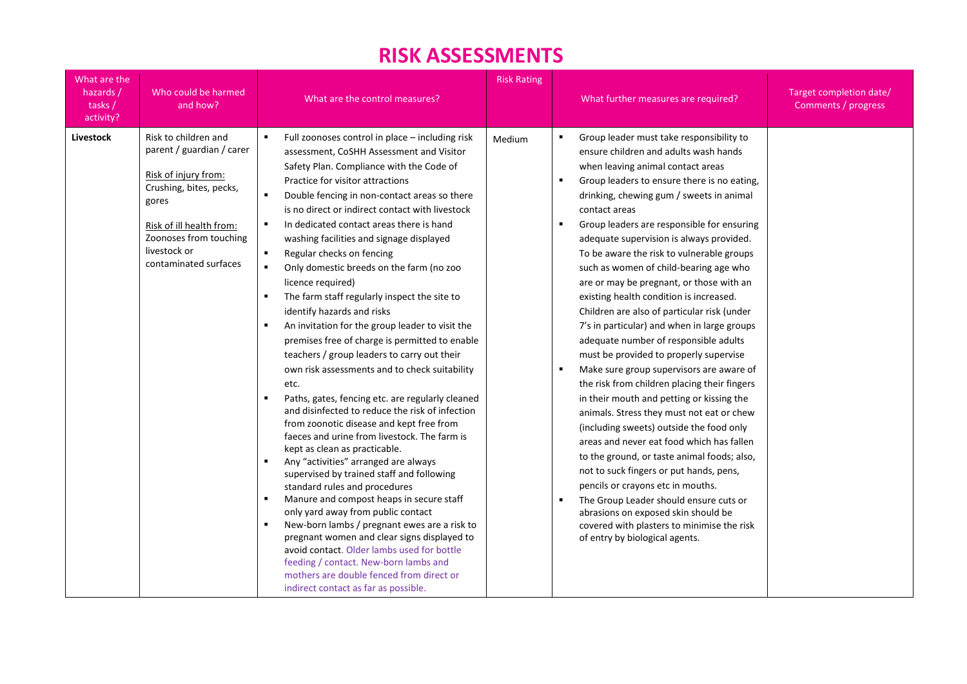| What are the<br>hazards /<br>tasks/<br>activity? | Who could be harmed<br>and how?                                                                                                                                                                              | What are the control measures?                                                                                                                                                                                                                                                                                                                                                                                                                                                                                                                                                                                                                                                                                                                                                                                                                                                                                                                                                                                                                                                                                                                                                                                                                                                                                                                                                                                                                                                                                                                             | <b>Risk Rating</b> | What further measures are required?                                                                                                                                                                                                                                                                                                                                                                                                                                                                                                                                                                                                                                                                                                                                                                                                                                                                                                                                                                                                                                                                                                                                                                                                                                                               | Target completion date/<br>Comments / progress |
|--------------------------------------------------|--------------------------------------------------------------------------------------------------------------------------------------------------------------------------------------------------------------|------------------------------------------------------------------------------------------------------------------------------------------------------------------------------------------------------------------------------------------------------------------------------------------------------------------------------------------------------------------------------------------------------------------------------------------------------------------------------------------------------------------------------------------------------------------------------------------------------------------------------------------------------------------------------------------------------------------------------------------------------------------------------------------------------------------------------------------------------------------------------------------------------------------------------------------------------------------------------------------------------------------------------------------------------------------------------------------------------------------------------------------------------------------------------------------------------------------------------------------------------------------------------------------------------------------------------------------------------------------------------------------------------------------------------------------------------------------------------------------------------------------------------------------------------------|--------------------|---------------------------------------------------------------------------------------------------------------------------------------------------------------------------------------------------------------------------------------------------------------------------------------------------------------------------------------------------------------------------------------------------------------------------------------------------------------------------------------------------------------------------------------------------------------------------------------------------------------------------------------------------------------------------------------------------------------------------------------------------------------------------------------------------------------------------------------------------------------------------------------------------------------------------------------------------------------------------------------------------------------------------------------------------------------------------------------------------------------------------------------------------------------------------------------------------------------------------------------------------------------------------------------------------|------------------------------------------------|
| Livestock                                        | Risk to children and<br>parent / guardian / carer<br>Risk of injury from:<br>Crushing, bites, pecks,<br>gores<br>Risk of ill health from:<br>Zoonoses from touching<br>livestock or<br>contaminated surfaces | $\blacksquare$<br>Full zoonoses control in place - including risk<br>assessment, CoSHH Assessment and Visitor<br>Safety Plan. Compliance with the Code of<br>Practice for visitor attractions<br>Double fencing in non-contact areas so there<br>is no direct or indirect contact with livestock<br>In dedicated contact areas there is hand<br>٠<br>washing facilities and signage displayed<br>Regular checks on fencing<br>٠<br>Only domestic breeds on the farm (no zoo<br>licence required)<br>The farm staff regularly inspect the site to<br>identify hazards and risks<br>An invitation for the group leader to visit the<br>$\blacksquare$<br>premises free of charge is permitted to enable<br>teachers / group leaders to carry out their<br>own risk assessments and to check suitability<br>etc.<br>Paths, gates, fencing etc. are regularly cleaned<br>and disinfected to reduce the risk of infection<br>from zoonotic disease and kept free from<br>faeces and urine from livestock. The farm is<br>kept as clean as practicable.<br>Any "activities" arranged are always<br>$\blacksquare$<br>supervised by trained staff and following<br>standard rules and procedures<br>Manure and compost heaps in secure staff<br>only yard away from public contact<br>New-born lambs / pregnant ewes are a risk to<br>٠<br>pregnant women and clear signs displayed to<br>avoid contact. Older lambs used for bottle<br>feeding / contact. New-born lambs and<br>mothers are double fenced from direct or<br>indirect contact as far as possible. | Medium             | Group leader must take responsibility to<br>٠<br>ensure children and adults wash hands<br>when leaving animal contact areas<br>Group leaders to ensure there is no eating,<br>drinking, chewing gum / sweets in animal<br>contact areas<br>Group leaders are responsible for ensuring<br>adequate supervision is always provided.<br>To be aware the risk to vulnerable groups<br>such as women of child-bearing age who<br>are or may be pregnant, or those with an<br>existing health condition is increased.<br>Children are also of particular risk (under<br>7's in particular) and when in large groups<br>adequate number of responsible adults<br>must be provided to properly supervise<br>Make sure group supervisors are aware of<br>$\blacksquare$<br>the risk from children placing their fingers<br>in their mouth and petting or kissing the<br>animals. Stress they must not eat or chew<br>(including sweets) outside the food only<br>areas and never eat food which has fallen<br>to the ground, or taste animal foods; also,<br>not to suck fingers or put hands, pens,<br>pencils or crayons etc in mouths.<br>The Group Leader should ensure cuts or<br>abrasions on exposed skin should be<br>covered with plasters to minimise the risk<br>of entry by biological agents. |                                                |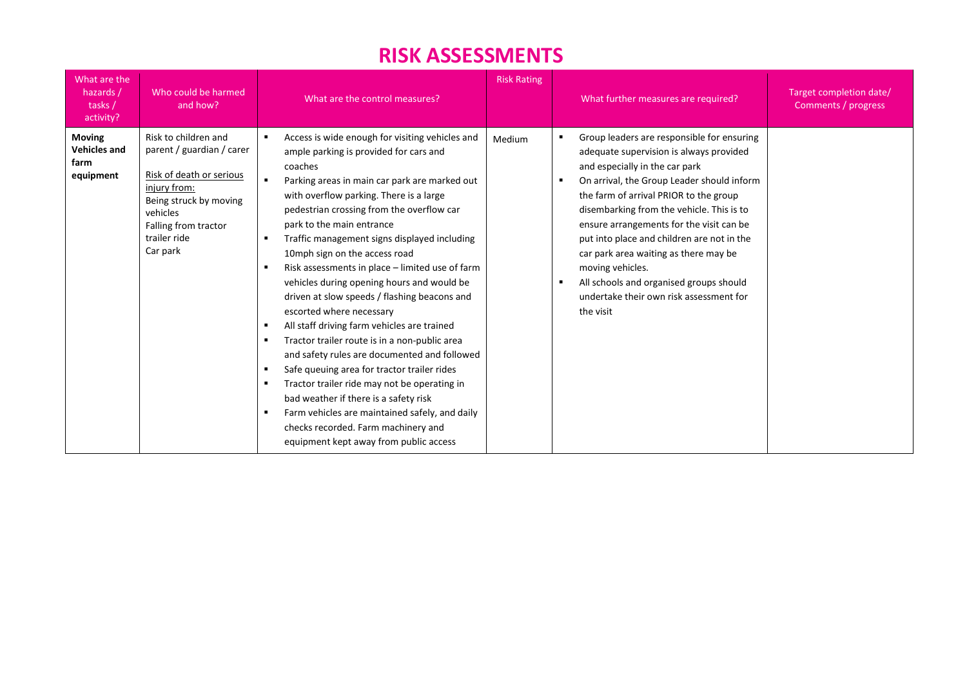| What are the<br>hazards /<br>tasks /<br>activity?         | Who could be harmed<br>and how?                                                                                                                                                         | What are the control measures?                                                                                                                                                                                                                                                                                                                                                                                                                                                                                                                                                                                                                                                                                                                                                                                                                                                                                                                                      | <b>Risk Rating</b> | What further measures are required?                                                                                                                                                                                                                                                                                                                                                                                                                                                                                    | Target completion date/<br>Comments / progress |
|-----------------------------------------------------------|-----------------------------------------------------------------------------------------------------------------------------------------------------------------------------------------|---------------------------------------------------------------------------------------------------------------------------------------------------------------------------------------------------------------------------------------------------------------------------------------------------------------------------------------------------------------------------------------------------------------------------------------------------------------------------------------------------------------------------------------------------------------------------------------------------------------------------------------------------------------------------------------------------------------------------------------------------------------------------------------------------------------------------------------------------------------------------------------------------------------------------------------------------------------------|--------------------|------------------------------------------------------------------------------------------------------------------------------------------------------------------------------------------------------------------------------------------------------------------------------------------------------------------------------------------------------------------------------------------------------------------------------------------------------------------------------------------------------------------------|------------------------------------------------|
| <b>Moving</b><br><b>Vehicles and</b><br>farm<br>equipment | Risk to children and<br>parent / guardian / carer<br>Risk of death or serious<br>injury from:<br>Being struck by moving<br>vehicles<br>Falling from tractor<br>trailer ride<br>Car park | Access is wide enough for visiting vehicles and<br>ample parking is provided for cars and<br>coaches<br>Parking areas in main car park are marked out<br>with overflow parking. There is a large<br>pedestrian crossing from the overflow car<br>park to the main entrance<br>Traffic management signs displayed including<br>10mph sign on the access road<br>Risk assessments in place - limited use of farm<br>vehicles during opening hours and would be<br>driven at slow speeds / flashing beacons and<br>escorted where necessary<br>All staff driving farm vehicles are trained<br>Tractor trailer route is in a non-public area<br>and safety rules are documented and followed<br>Safe queuing area for tractor trailer rides<br>Tractor trailer ride may not be operating in<br>bad weather if there is a safety risk<br>Farm vehicles are maintained safely, and daily<br>checks recorded. Farm machinery and<br>equipment kept away from public access | Medium             | Group leaders are responsible for ensuring<br>adequate supervision is always provided<br>and especially in the car park<br>On arrival, the Group Leader should inform<br>the farm of arrival PRIOR to the group<br>disembarking from the vehicle. This is to<br>ensure arrangements for the visit can be<br>put into place and children are not in the<br>car park area waiting as there may be<br>moving vehicles.<br>All schools and organised groups should<br>undertake their own risk assessment for<br>the visit |                                                |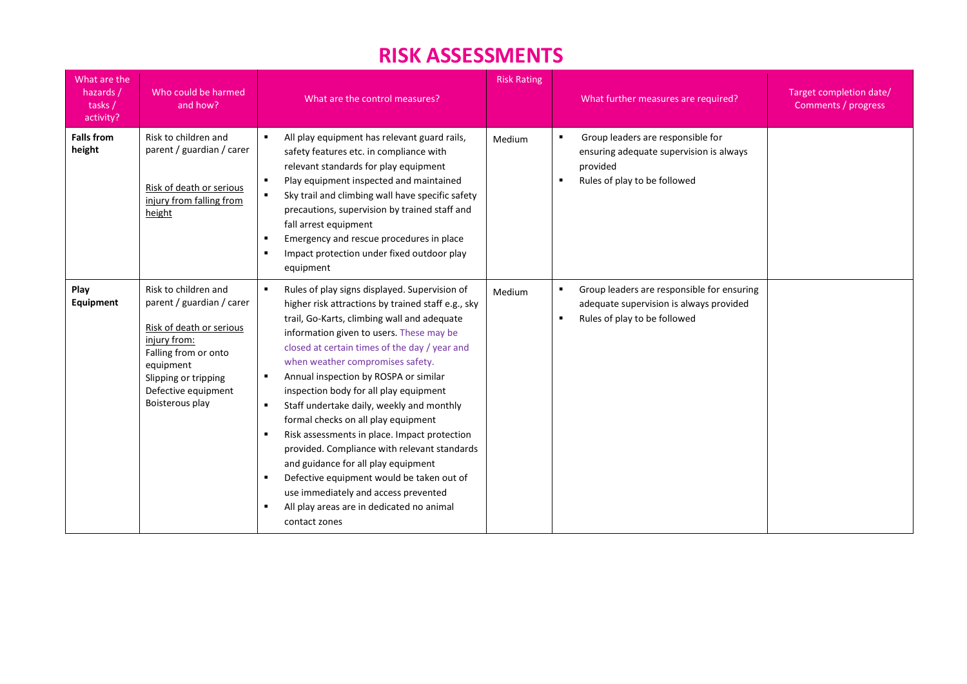| What are the<br>hazards /<br>tasks /<br>activity? | Who could be harmed<br>and how?                                                                                                                                                                      | What are the control measures?                                                                                                                                                                                                                                                                                                                                                                                                                                                                                                                                                                                                                                                                                                                                                           | <b>Risk Rating</b> | What further measures are required?                                                                                                     | Target completion date/<br>Comments / progress |
|---------------------------------------------------|------------------------------------------------------------------------------------------------------------------------------------------------------------------------------------------------------|------------------------------------------------------------------------------------------------------------------------------------------------------------------------------------------------------------------------------------------------------------------------------------------------------------------------------------------------------------------------------------------------------------------------------------------------------------------------------------------------------------------------------------------------------------------------------------------------------------------------------------------------------------------------------------------------------------------------------------------------------------------------------------------|--------------------|-----------------------------------------------------------------------------------------------------------------------------------------|------------------------------------------------|
| <b>Falls from</b><br>height                       | Risk to children and<br>parent / guardian / carer<br>Risk of death or serious<br>injury from falling from<br>height                                                                                  | All play equipment has relevant guard rails,<br>safety features etc. in compliance with<br>relevant standards for play equipment<br>Play equipment inspected and maintained<br>Sky trail and climbing wall have specific safety<br>precautions, supervision by trained staff and<br>fall arrest equipment<br>Emergency and rescue procedures in place<br>Impact protection under fixed outdoor play<br>equipment                                                                                                                                                                                                                                                                                                                                                                         | Medium             | Group leaders are responsible for<br>ensuring adequate supervision is always<br>provided<br>Rules of play to be followed                |                                                |
| Play<br>Equipment                                 | Risk to children and<br>parent / guardian / carer<br>Risk of death or serious<br>injury from:<br>Falling from or onto<br>equipment<br>Slipping or tripping<br>Defective equipment<br>Boisterous play | Rules of play signs displayed. Supervision of<br>higher risk attractions by trained staff e.g., sky<br>trail, Go-Karts, climbing wall and adequate<br>information given to users. These may be<br>closed at certain times of the day / year and<br>when weather compromises safety.<br>Annual inspection by ROSPA or similar<br>$\blacksquare$<br>inspection body for all play equipment<br>Staff undertake daily, weekly and monthly<br>$\blacksquare$<br>formal checks on all play equipment<br>Risk assessments in place. Impact protection<br>provided. Compliance with relevant standards<br>and guidance for all play equipment<br>Defective equipment would be taken out of<br>use immediately and access prevented<br>All play areas are in dedicated no animal<br>contact zones | Medium             | Group leaders are responsible for ensuring<br>adequate supervision is always provided<br>Rules of play to be followed<br>$\blacksquare$ |                                                |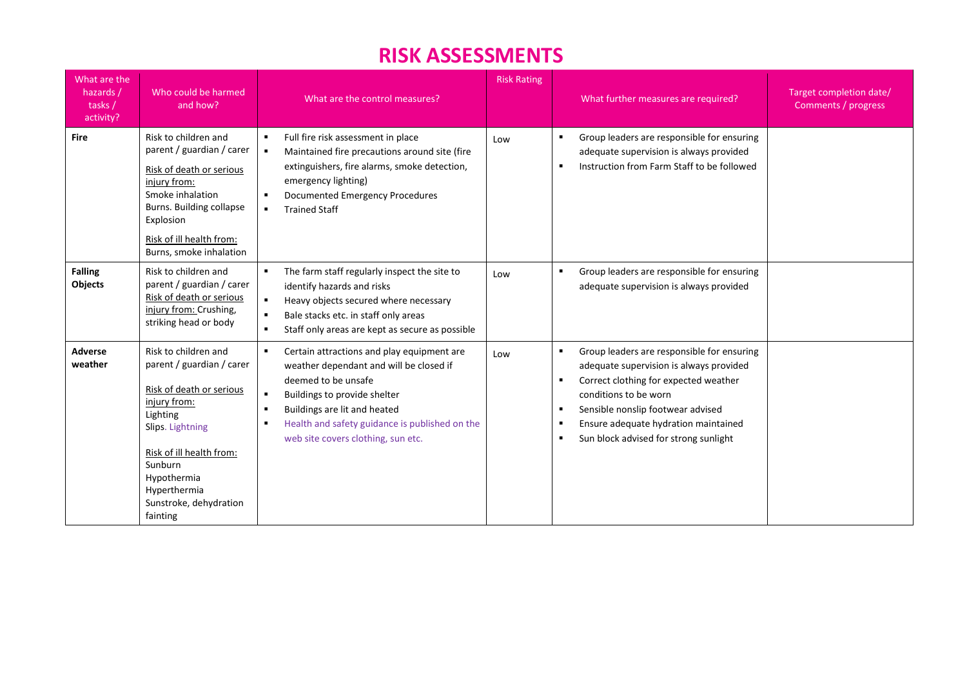| What are the<br>hazards /<br>tasks/<br>activity? | Who could be harmed<br>and how?                                                                                                                                                                                                           | What are the control measures?                                                                                                                                                                                                                                                                           | <b>Risk Rating</b> | What further measures are required?                                                                                                                                                                                                                                                                                              | Target completion date/<br>Comments / progress |
|--------------------------------------------------|-------------------------------------------------------------------------------------------------------------------------------------------------------------------------------------------------------------------------------------------|----------------------------------------------------------------------------------------------------------------------------------------------------------------------------------------------------------------------------------------------------------------------------------------------------------|--------------------|----------------------------------------------------------------------------------------------------------------------------------------------------------------------------------------------------------------------------------------------------------------------------------------------------------------------------------|------------------------------------------------|
| <b>Fire</b>                                      | Risk to children and<br>parent / guardian / carer<br>Risk of death or serious<br>injury from:<br>Smoke inhalation<br>Burns. Building collapse<br>Explosion<br>Risk of ill health from:<br>Burns, smoke inhalation                         | Full fire risk assessment in place<br>Maintained fire precautions around site (fire<br>$\blacksquare$<br>extinguishers, fire alarms, smoke detection,<br>emergency lighting)<br>Documented Emergency Procedures<br><b>Trained Staff</b><br>$\blacksquare$                                                | Low                | Group leaders are responsible for ensuring<br>adequate supervision is always provided<br>Instruction from Farm Staff to be followed<br>п                                                                                                                                                                                         |                                                |
| <b>Falling</b><br>Objects                        | Risk to children and<br>parent / guardian / carer<br>Risk of death or serious<br>injury from: Crushing,<br>striking head or body                                                                                                          | The farm staff regularly inspect the site to<br>identify hazards and risks<br>$\blacksquare$<br>Heavy objects secured where necessary<br>Bale stacks etc. in staff only areas<br>$\blacksquare$<br>Staff only areas are kept as secure as possible<br>$\blacksquare$                                     | Low                | Group leaders are responsible for ensuring<br>adequate supervision is always provided                                                                                                                                                                                                                                            |                                                |
| <b>Adverse</b><br>weather                        | Risk to children and<br>parent / guardian / carer<br>Risk of death or serious<br>injury from:<br>Lighting<br>Slips. Lightning<br>Risk of ill health from:<br>Sunburn<br>Hypothermia<br>Hyperthermia<br>Sunstroke, dehydration<br>fainting | Certain attractions and play equipment are<br>weather dependant and will be closed if<br>deemed to be unsafe<br>Buildings to provide shelter<br>Buildings are lit and heated<br>$\blacksquare$<br>Health and safety guidance is published on the<br>$\blacksquare$<br>web site covers clothing, sun etc. | Low                | Group leaders are responsible for ensuring<br>٠<br>adequate supervision is always provided<br>Correct clothing for expected weather<br>٠<br>conditions to be worn<br>Sensible nonslip footwear advised<br>$\blacksquare$<br>Ensure adequate hydration maintained<br>$\blacksquare$<br>Sun block advised for strong sunlight<br>п |                                                |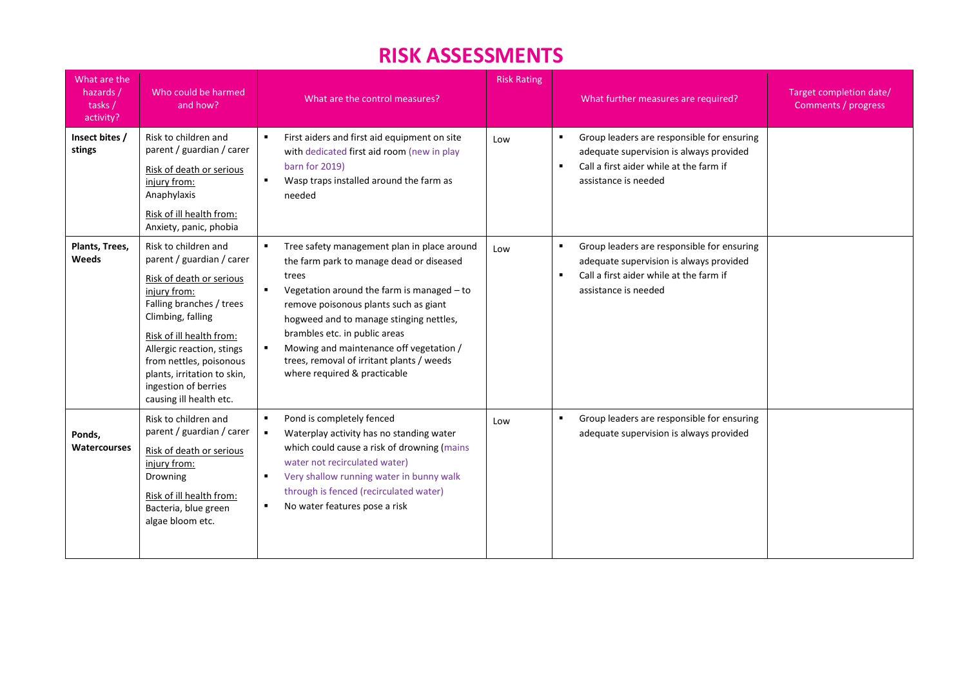| What are the<br>hazards /<br>tasks /<br>activity? | Who could be harmed<br>and how?                                                                                                                                                                                                                                                                                      | What are the control measures?                                                                                                                                                                                                                                                                                                                                                                                                  | <b>Risk Rating</b> | What further measures are required?                                                                                                                                        | Target completion date/<br>Comments / progress |
|---------------------------------------------------|----------------------------------------------------------------------------------------------------------------------------------------------------------------------------------------------------------------------------------------------------------------------------------------------------------------------|---------------------------------------------------------------------------------------------------------------------------------------------------------------------------------------------------------------------------------------------------------------------------------------------------------------------------------------------------------------------------------------------------------------------------------|--------------------|----------------------------------------------------------------------------------------------------------------------------------------------------------------------------|------------------------------------------------|
| Insect bites /<br>stings                          | Risk to children and<br>parent / guardian / carer<br>Risk of death or serious<br>injury from:<br>Anaphylaxis<br>Risk of ill health from:<br>Anxiety, panic, phobia                                                                                                                                                   | First aiders and first aid equipment on site<br>with dedicated first aid room (new in play<br>barn for 2019)<br>Wasp traps installed around the farm as<br>needed                                                                                                                                                                                                                                                               | Low                | Group leaders are responsible for ensuring<br>adequate supervision is always provided<br>Call a first aider while at the farm if<br>$\blacksquare$<br>assistance is needed |                                                |
| Plants, Trees,<br>Weeds                           | Risk to children and<br>parent / guardian / carer<br>Risk of death or serious<br>injury from:<br>Falling branches / trees<br>Climbing, falling<br>Risk of ill health from:<br>Allergic reaction, stings<br>from nettles, poisonous<br>plants, irritation to skin,<br>ingestion of berries<br>causing ill health etc. | Tree safety management plan in place around<br>the farm park to manage dead or diseased<br>trees<br>$\blacksquare$<br>Vegetation around the farm is managed - to<br>remove poisonous plants such as giant<br>hogweed and to manage stinging nettles,<br>brambles etc. in public areas<br>Mowing and maintenance off vegetation /<br>$\blacksquare$<br>trees, removal of irritant plants / weeds<br>where required & practicable | Low                | Group leaders are responsible for ensuring<br>adequate supervision is always provided<br>Call a first aider while at the farm if<br>$\blacksquare$<br>assistance is needed |                                                |
| Ponds,<br><b>Watercourses</b>                     | Risk to children and<br>parent / guardian / carer<br>Risk of death or serious<br>injury from:<br>Drowning<br>Risk of ill health from:<br>Bacteria, blue green<br>algae bloom etc.                                                                                                                                    | $\blacksquare$<br>Pond is completely fenced<br>Waterplay activity has no standing water<br>$\blacksquare$<br>which could cause a risk of drowning (mains<br>water not recirculated water)<br>Very shallow running water in bunny walk<br>$\blacksquare$<br>through is fenced (recirculated water)<br>No water features pose a risk                                                                                              | Low                | Group leaders are responsible for ensuring<br>adequate supervision is always provided                                                                                      |                                                |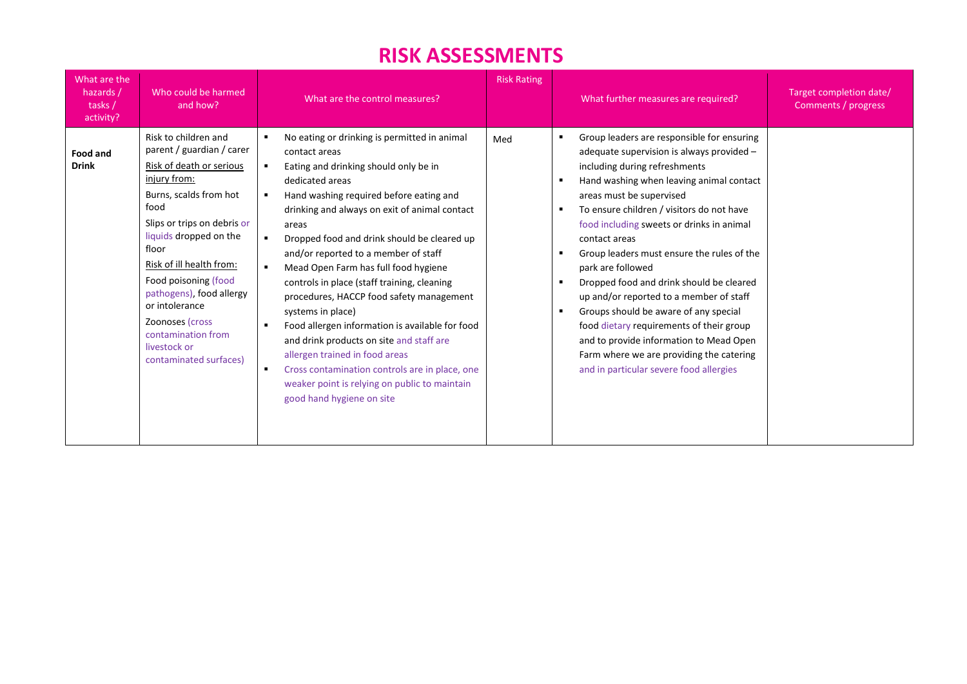| What are the<br>hazards /<br>tasks /<br>activity? | Who could be harmed<br>and how?                                                                                                                                                                                                                                                                                                                                                        | What are the control measures?                                                                                                                                                                                                                                                                                                                                                                                                                                                                                                                                                                                                                                                                                                                                   | <b>Risk Rating</b> | What further measures are required?                                                                                                                                                                                                                                                                                                                                                                                                                                                                                                                                                                                                                                                                                              | Target completion date/<br>Comments / progress |
|---------------------------------------------------|----------------------------------------------------------------------------------------------------------------------------------------------------------------------------------------------------------------------------------------------------------------------------------------------------------------------------------------------------------------------------------------|------------------------------------------------------------------------------------------------------------------------------------------------------------------------------------------------------------------------------------------------------------------------------------------------------------------------------------------------------------------------------------------------------------------------------------------------------------------------------------------------------------------------------------------------------------------------------------------------------------------------------------------------------------------------------------------------------------------------------------------------------------------|--------------------|----------------------------------------------------------------------------------------------------------------------------------------------------------------------------------------------------------------------------------------------------------------------------------------------------------------------------------------------------------------------------------------------------------------------------------------------------------------------------------------------------------------------------------------------------------------------------------------------------------------------------------------------------------------------------------------------------------------------------------|------------------------------------------------|
| Food and<br><b>Drink</b>                          | Risk to children and<br>parent / guardian / carer<br>Risk of death or serious<br>injury from:<br>Burns, scalds from hot<br>food<br>Slips or trips on debris or<br>liquids dropped on the<br>floor<br>Risk of ill health from:<br>Food poisoning (food<br>pathogens), food allergy<br>or intolerance<br>Zoonoses (cross<br>contamination from<br>livestock or<br>contaminated surfaces) | No eating or drinking is permitted in animal<br>contact areas<br>Eating and drinking should only be in<br>dedicated areas<br>Hand washing required before eating and<br>drinking and always on exit of animal contact<br>areas<br>Dropped food and drink should be cleared up<br>and/or reported to a member of staff<br>Mead Open Farm has full food hygiene<br>$\blacksquare$<br>controls in place (staff training, cleaning<br>procedures, HACCP food safety management<br>systems in place)<br>Food allergen information is available for food<br>and drink products on site and staff are<br>allergen trained in food areas<br>Cross contamination controls are in place, one<br>weaker point is relying on public to maintain<br>good hand hygiene on site | Med                | Group leaders are responsible for ensuring<br>adequate supervision is always provided -<br>including during refreshments<br>Hand washing when leaving animal contact<br>$\blacksquare$<br>areas must be supervised<br>To ensure children / visitors do not have<br>food including sweets or drinks in animal<br>contact areas<br>Group leaders must ensure the rules of the<br>park are followed<br>Dropped food and drink should be cleared<br>$\blacksquare$<br>up and/or reported to a member of staff<br>Groups should be aware of any special<br>food dietary requirements of their group<br>and to provide information to Mead Open<br>Farm where we are providing the catering<br>and in particular severe food allergies |                                                |